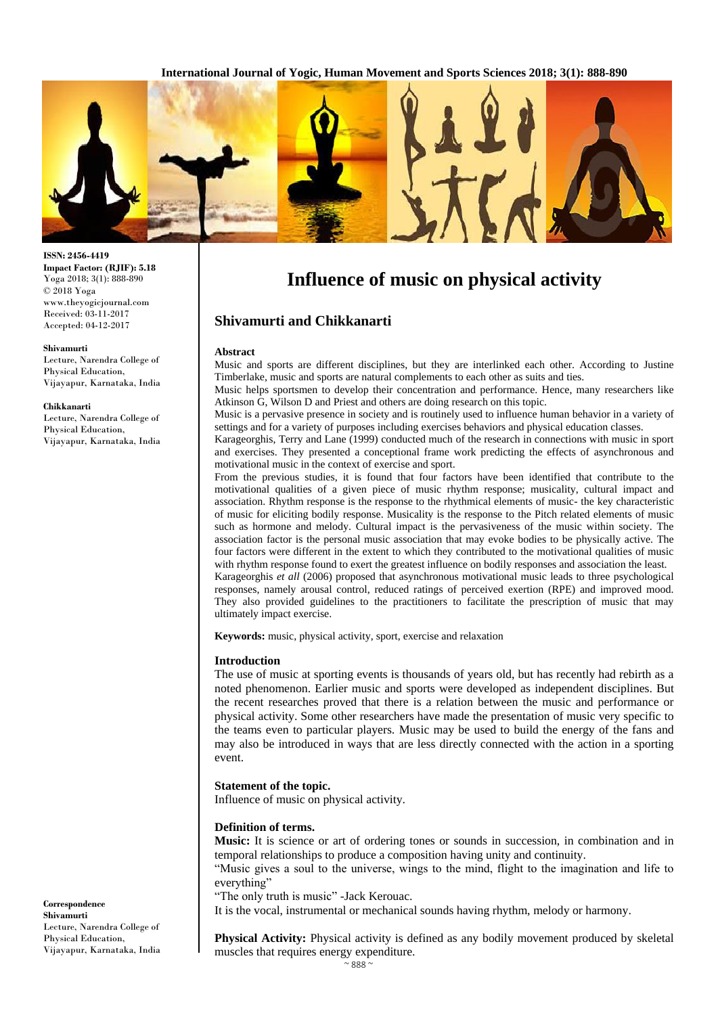

# **ISSN: 2456-4419**

**Impact Factor: (RJIF): 5.18** Yoga 2018; 3(1): 888-890 © 2018 Yoga www.theyogicjournal.com Received: 03-11-2017 Accepted: 04-12-2017

#### **Shivamurti**

Lecture, Narendra College of Physical Education, Vijayapur, Karnataka, India

#### **Chikkanarti**

Lecture, Narendra College of Physical Education, Vijayapur, Karnataka, India

# **Influence of music on physical activity**

# **Shivamurti and Chikkanarti**

#### **Abstract**

Music and sports are different disciplines, but they are interlinked each other. According to Justine Timberlake, music and sports are natural complements to each other as suits and ties.

Music helps sportsmen to develop their concentration and performance. Hence, many researchers like Atkinson G, Wilson D and Priest and others are doing research on this topic.

Music is a pervasive presence in society and is routinely used to influence human behavior in a variety of settings and for a variety of purposes including exercises behaviors and physical education classes.

Karageorghis, Terry and Lane (1999) conducted much of the research in connections with music in sport and exercises. They presented a conceptional frame work predicting the effects of asynchronous and motivational music in the context of exercise and sport.

From the previous studies, it is found that four factors have been identified that contribute to the motivational qualities of a given piece of music rhythm response; musicality, cultural impact and association. Rhythm response is the response to the rhythmical elements of music- the key characteristic of music for eliciting bodily response. Musicality is the response to the Pitch related elements of music such as hormone and melody. Cultural impact is the pervasiveness of the music within society. The association factor is the personal music association that may evoke bodies to be physically active. The four factors were different in the extent to which they contributed to the motivational qualities of music with rhythm response found to exert the greatest influence on bodily responses and association the least. Karageorghis *et all* (2006) proposed that asynchronous motivational music leads to three psychological responses, namely arousal control, reduced ratings of perceived exertion (RPE) and improved mood. They also provided guidelines to the practitioners to facilitate the prescription of music that may

**Keywords:** music, physical activity, sport, exercise and relaxation

#### **Introduction**

ultimately impact exercise.

The use of music at sporting events is thousands of years old, but has recently had rebirth as a noted phenomenon. Earlier music and sports were developed as independent disciplines. But the recent researches proved that there is a relation between the music and performance or physical activity. Some other researchers have made the presentation of music very specific to the teams even to particular players. Music may be used to build the energy of the fans and may also be introduced in ways that are less directly connected with the action in a sporting event.

#### **Statement of the topic.**

Influence of music on physical activity.

#### **Definition of terms.**

**Music:** It is science or art of ordering tones or sounds in succession, in combination and in temporal relationships to produce a composition having unity and continuity.

"Music gives a soul to the universe, wings to the mind, flight to the imagination and life to everything"

"The only truth is music" -Jack Kerouac.

It is the vocal, instrumental or mechanical sounds having rhythm, melody or harmony.

**Physical Activity:** Physical activity is defined as any bodily movement produced by skeletal muscles that requires energy expenditure.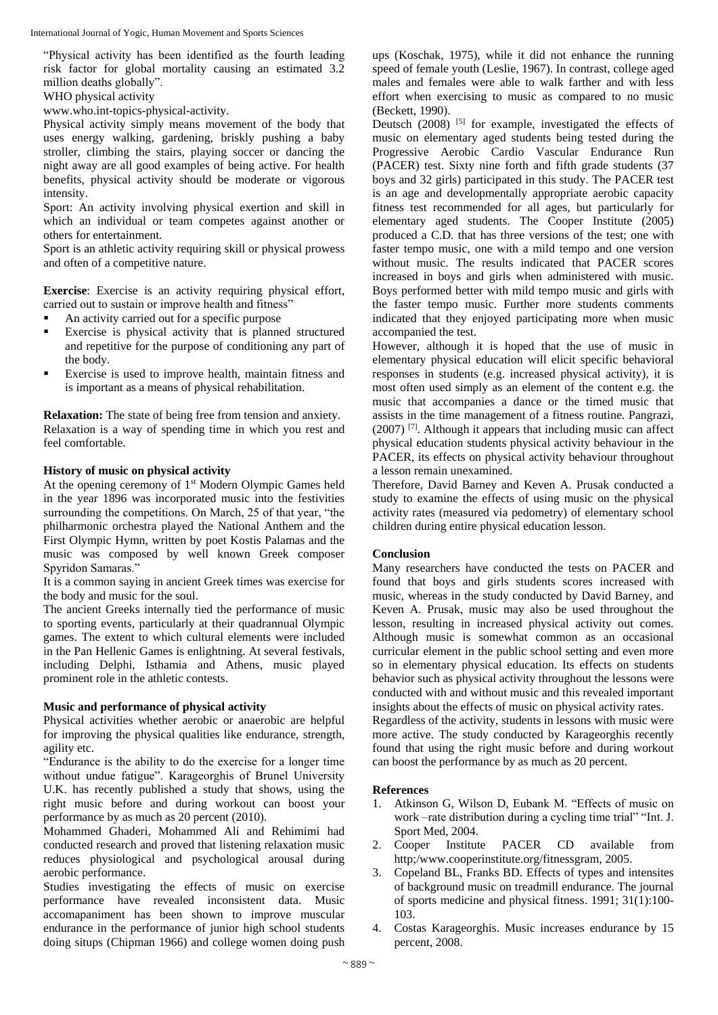International Journal of Yogic, Human Movement and Sports Sciences

"Physical activity has been identified as the fourth leading risk factor for global mortality causing an estimated 3.2 million deaths globally".

WHO physical activity

www.who.int-topics-physical-activity.

Physical activity simply means movement of the body that uses energy walking, gardening, briskly pushing a baby stroller, climbing the stairs, playing soccer or dancing the night away are all good examples of being active. For health benefits, physical activity should be moderate or vigorous intensity.

Sport: An activity involving physical exertion and skill in which an individual or team competes against another or others for entertainment.

Sport is an athletic activity requiring skill or physical prowess and often of a competitive nature.

**Exercise**: Exercise is an activity requiring physical effort, carried out to sustain or improve health and fitness"

- An activity carried out for a specific purpose
- Exercise is physical activity that is planned structured and repetitive for the purpose of conditioning any part of the body.
- Exercise is used to improve health, maintain fitness and is important as a means of physical rehabilitation.

**Relaxation:** The state of being free from tension and anxiety. Relaxation is a way of spending time in which you rest and feel comfortable.

## **History of music on physical activity**

At the opening ceremony of 1<sup>st</sup> Modern Olympic Games held in the year 1896 was incorporated music into the festivities surrounding the competitions. On March, 25 of that year, "the philharmonic orchestra played the National Anthem and the First Olympic Hymn, written by poet Kostis Palamas and the music was composed by well known Greek composer Spyridon Samaras."

It is a common saying in ancient Greek times was exercise for the body and music for the soul.

The ancient Greeks internally tied the performance of music to sporting events, particularly at their quadrannual Olympic games. The extent to which cultural elements were included in the Pan Hellenic Games is enlightning. At several festivals, including Delphi, Isthamia and Athens, music played prominent role in the athletic contests.

## **Music and performance of physical activity**

Physical activities whether aerobic or anaerobic are helpful for improving the physical qualities like endurance, strength, agility etc.

"Endurance is the ability to do the exercise for a longer time without undue fatigue". Karageorghis of Brunel University U.K. has recently published a study that shows, using the right music before and during workout can boost your performance by as much as 20 percent (2010).

Mohammed Ghaderi, Mohammed Ali and Rehimimi had conducted research and proved that listening relaxation music reduces physiological and psychological arousal during aerobic performance.

Studies investigating the effects of music on exercise performance have revealed inconsistent data. Music accomapaniment has been shown to improve muscular endurance in the performance of junior high school students doing situps (Chipman 1966) and college women doing push ups (Koschak, 1975), while it did not enhance the running speed of female youth (Leslie, 1967). In contrast, college aged males and females were able to walk farther and with less effort when exercising to music as compared to no music (Beckett, 1990).

Deutsch  $(2008)$  <sup>[5]</sup> for example, investigated the effects of music on elementary aged students being tested during the Progressive Aerobic Cardio Vascular Endurance Run (PACER) test. Sixty nine forth and fifth grade students (37 boys and 32 girls) participated in this study. The PACER test is an age and developmentally appropriate aerobic capacity fitness test recommended for all ages, but particularly for elementary aged students. The Cooper Institute (2005) produced a C.D. that has three versions of the test; one with faster tempo music, one with a mild tempo and one version without music. The results indicated that PACER scores increased in boys and girls when administered with music. Boys performed better with mild tempo music and girls with the faster tempo music. Further more students comments indicated that they enjoyed participating more when music accompanied the test.

However, although it is hoped that the use of music in elementary physical education will elicit specific behavioral responses in students (e.g. increased physical activity), it is most often used simply as an element of the content e.g. the music that accompanies a dance or the timed music that assists in the time management of a fitness routine. Pangrazi,  $(2007)$  <sup>[7]</sup>. Although it appears that including music can affect physical education students physical activity behaviour in the PACER, its effects on physical activity behaviour throughout a lesson remain unexamined.

Therefore, David Barney and Keven A. Prusak conducted a study to examine the effects of using music on the physical activity rates (measured via pedometry) of elementary school children during entire physical education lesson.

## **Conclusion**

Many researchers have conducted the tests on PACER and found that boys and girls students scores increased with music, whereas in the study conducted by David Barney, and Keven A. Prusak, music may also be used throughout the lesson, resulting in increased physical activity out comes. Although music is somewhat common as an occasional curricular element in the public school setting and even more so in elementary physical education. Its effects on students behavior such as physical activity throughout the lessons were conducted with and without music and this revealed important insights about the effects of music on physical activity rates. Regardless of the activity, students in lessons with music were more active. The study conducted by Karageorghis recently found that using the right music before and during workout can boost the performance by as much as 20 percent.

## **References**

- 1. Atkinson G, Wilson D, Eubank M. "Effects of music on work –rate distribution during a cycling time trial" "Int. J. Sport Med, 2004.
- 2. Cooper Institute PACER CD available from http;/www.cooperinstitute.org/fitnessgram, 2005.
- 3. Copeland BL, Franks BD. Effects of types and intensites of background music on treadmill endurance. The journal of sports medicine and physical fitness. 1991; 31(1):100- 103.
- 4. Costas Karageorghis. Music increases endurance by 15 percent, 2008.